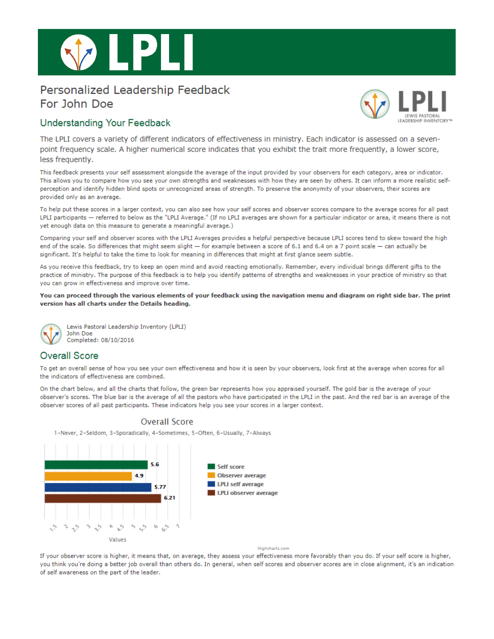

# Personalized Leadership Feedback For John Doe



### **Understanding Your Feedback**

The LPLI covers a variety of different indicators of effectiveness in ministry. Each indicator is assessed on a sevenpoint frequency scale. A higher numerical score indicates that you exhibit the trait more frequently, a lower score, less frequently.

This feedback presents your self assessment alongside the average of the input provided by your observers for each category, area or indicator. This allows you to compare how you see your own strengths and weaknesses with how they are seen by others. It can inform a more realistic selfperception and identify hidden blind spots or unrecognized areas of strength. To preserve the anonymity of your observers, their scores are provided only as an average.

To help put these scores in a larger context, you can also see how your self scores and observer scores compare to the average scores for all past LPLI participants - referred to below as the "LPLI Average." (If no LPLI averages are shown for a particular indicator or area, it means there is not yet enough data on this measure to generate a meaningful average.)

Comparing your self and observer scores with the LPLI Averages provides a helpful perspective because LPLI scores tend to skew toward the high end of the scale. So differences that might seem slight - for example between a score of 6.1 and 6.4 on a 7 point scale - can actually be significant. It's helpful to take the time to look for meaning in differences that might at first glance seem subtle.

As you receive this feedback, try to keep an open mind and avoid reacting emotionally. Remember, every individual brings different gifts to the practice of ministry. The purpose of this feedback is to help you identify patterns of strengths and weaknesses in your practice of ministry so that you can grow in effectiveness and improve over time.

You can proceed through the various elements of your feedback using the navigation menu and diagram on right side bar. The print version has all charts under the Details heading.



Lewis Pastoral Leadership Inventory (LPLI) **John Doe** Completed: 08/10/2016

# **Overall Score**

To get an overall sense of how you see your own effectiveness and how it is seen by your observers, look first at the average when scores for all the indicators of effectiveness are combined.

On the chart below, and all the charts that follow, the green bar represents how you appraised yourself. The gold bar is the average of your observer's scores. The blue bar is the average of all the pastors who have participated in the LPLI in the past. And the red bar is an average of the observer scores of all past participants. These indicators help you see your scores in a larger context.



**Overall Score** 

If your observer score is higher, it means that, on average, they assess your effectiveness more favorably than you do. If your self score is higher, you think you're doing a better job overall than others do. In general, when self scores and observer scores are in close alignment, it's an indication of self awareness on the part of the leader.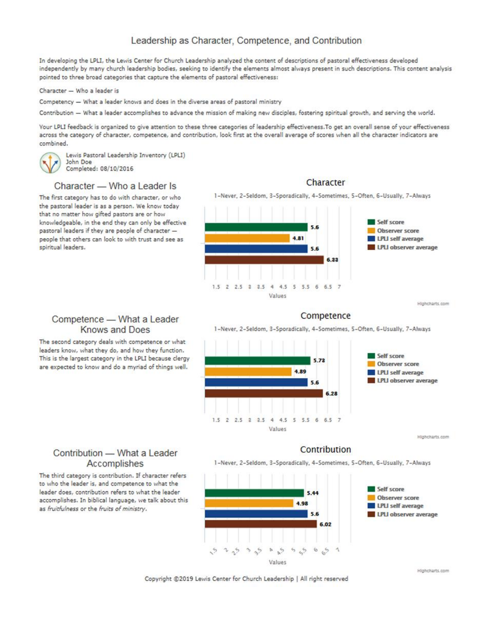# Leadership as Character, Competence, and Contribution

In developing the LPLI, the Lewis Center for Church Leadership analyzed the content of descriptions of pastoral effectiveness developed independently by many church leadership bodies, seeking to identify the elements almost always present in such descriptions. This content analysis pointed to three broad categories that capture the elements of pastoral effectiveness:

#### Character - Who a leader is

Competency - What a leader knows and does in the diverse areas of pastoral ministry

Contribution - What a leader accomplishes to advance the mission of making new disciples, fostering spiritual growth, and serving the world.

Your LPLI feedback is organized to give attention to these three categories of leadership effectiveness. To get an overall sense of your effectiveness across the category of character, competence, and contribution, look first at the overall average of scores when all the character indicators are combined.

Lewis Pastoral Leadership Inventory (LPLI) John Doe Completed: 08/10/2016

#### Character - Who a Leader Is

The first category has to do with character, or who the pastoral leader is as a person. We know today that no matter how gifted pastors are or how knowledgeable, in the end they can only be effective pastoral leaders if they are people of character people that others can look to with trust and see as spiritual leaders.

Competence - What a Leader **Knows and Does** 

The second category deals with competence or what leaders know, what they do, and how they function.

This is the largest category in the LPLI because clergy

are expected to know and do a myriad of things well.



Highcharts.com

### Competence

1-Never, 2-Seldom, 3-Sporadically, 4-Sometimes, 5-Often, 6-Usually, 7-Always



### Contribution

1-Never, 2-Seldom, 3-Sporadically, 4-Sometimes, 5-Often, 6-Usually, 7-Always



# Contribution - What a Leader Accomplishes

The third category is contribution. If character refers to who the leader is, and competence to what the leader does, contribution refers to what the leader accomplishes. In biblical language, we talk about this as fruitfulness or the fruits of ministry.

Copyright @2019 Lewis Center for Church Leadership | All right reserved

Character

Highcharts.com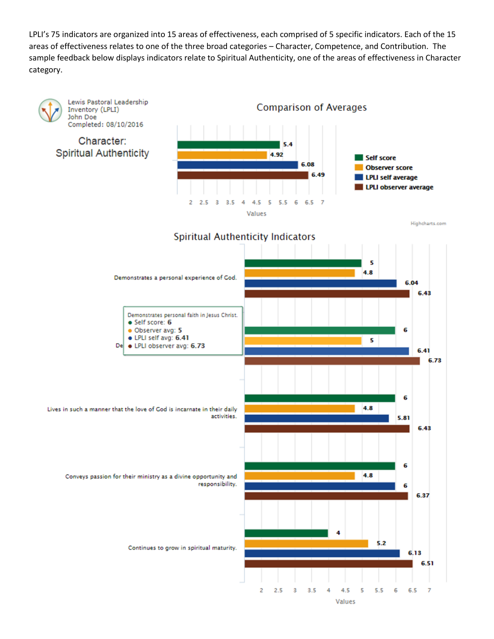LPLI's 75 indicators are organized into 15 areas of effectiveness, each comprised of 5 specific indicators. Each of the 15 areas of effectiveness relates to one of the three broad categories – Character, Competence, and Contribution. The sample feedback below displays indicators relate to Spiritual Authenticity, one of the areas of effectiveness in Character category.